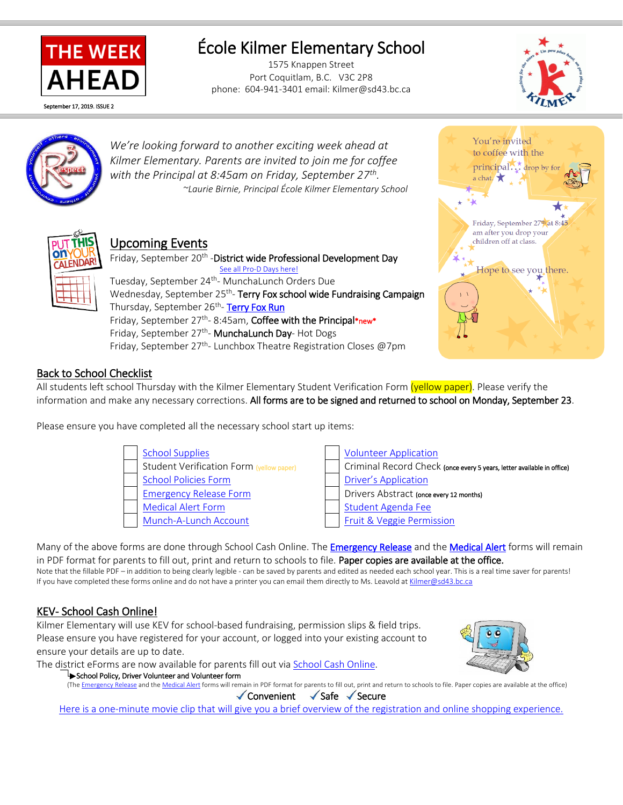

# École Kilmer Elementary School

1575 Knappen Street Port Coquitlam, B.C. V3C 2P8 phone: 604-941-3401 email: Kilmer@sd43.bc.ca





l

*We're looking forward to another exciting week ahead at Kilmer Elementary. Parents are invited to join me for coffee with the Principal at 8:45am on Friday, September 27th . ~Laurie Birnie, Principal École Kilmer Elementary School*



## Upcoming Events

Friday, September 20<sup>th</sup> - District wide Professional Development Day [See all Pro-D Days here!](https://www.sd43.bc.ca/school/kilmer/Documents/2019%20-%2020%20Kilmer%20Elementary%20School%20calendar.pdf?csf=1) Tuesday, September 24<sup>th</sup>- MunchaLunch Orders Due Wednesday, September 25<sup>th</sup>- Terry Fox school wide Fundraising Campaign Thursday, September 26<sup>th</sup>- <mark>Terry Fox Run</mark> Friday, September 27<sup>th</sup>-8:45am, Coffee with the Principal\*new\* Friday, September 27<sup>th</sup>- MunchaLunch Day- Hot Dogs Friday, September 27<sup>th</sup>- Lunchbox Theatre Registration Closes @7pm



### Back to School Checklist

All students left school Thursday with the Kilmer Elementary Student Verification Form (vellow paper). Please verify the information and make any necessary corrections. All forms are to be signed and returned to school on Monday, September 23.

Please ensure you have completed all the necessary school start up items:



Many of the above forms are done through School Cash Online. Th[e Emergency Release](http://www.sd43.bc.ca/Resources/eforms/Type1Diabetes/EmergencyRelease.pdf) and the [Medical Alert](http://www.sd43.bc.ca/Resources/eforms/MApdf/MedicalAlertForm.pdf) forms will remain in PDF format for parents to fill out, print and return to schools to file. Paper copies are available at the office. Note that the fillable PDF – in addition to being clearly legible - can be saved by parents and edited as needed each school year. This is a real time saver for parents! If you have completed these forms online and do not have a printer you can email them directly to Ms. Leavold a[t Kilmer@sd43.bc.ca](mailto:Kilmer@sd43.bc.ca)

## KEV- School Cash Online!

Kilmer Elementary will use KEV for school-based fundraising, permission slips & field trips. Please ensure you have registered for your account, or logged into your existing account to ensure your details are up to date.

The district eForms are now available for parents fill out via [School Cash Online.](https://www.schoolcashonline.com/)



School Policy, Driver Volunteer and Volunteer form

(Th[e Emergency Release](http://www.sd43.bc.ca/Resources/eforms/Type1Diabetes/EmergencyRelease.pdf) and th[e Medical Alert](http://www.sd43.bc.ca/Resources/eforms/MApdf/MedicalAlertForm.pdf) forms will remain in PDF format for parents to fill out, print and return to schools to file. Paper copies are available at the office)

 $\checkmark$  Convenient  $\checkmark$  Safe  $\checkmark$  Secure

Here is a one-minute [movie clip that will give you a brief overview of the registration and online shopping experience.](http://www.kevsoftware.com/movies/ParentRegEnglish/)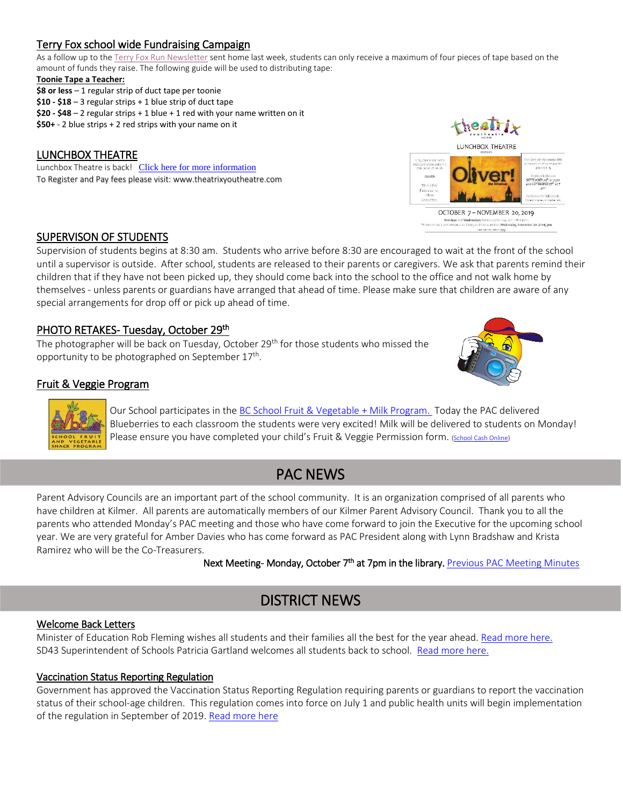### Terry Fox school wide Fundraising Campaign

As a follow up to th[e Terry Fox Run Newsletter](http://www.sd43.bc.ca/school/kilmer/Documents/2019%20terry%20fox%20run%20notice%20for%20parents.pdf) sent home last week, students can only receive a maximum of four pieces of tape based on the amount of funds they raise. The following guide will be used to distributing tape:

#### **Toonie Tape a Teacher:**

- **\$8 or less** 1 regular strip of duct tape per toonie
- **\$10 - \$18** 3 regular strips + 1 blue strip of duct tape
- **\$20 - \$48** 2 regular strips + 1 blue + 1 red with your name written on it
- **\$50+** 2 blue strips + 2 red strips with your name on it

#### LUNCHBOX THEATRE

Lunchbox Theatre is back! [Click here for more information](https://www.sd43.bc.ca/school/kilmer/Documents/LunchBoxTheatre.pdf?csf=1) To Register and Pay fees please visit[: www.theatrixyoutheatre.com](http://www.theatrixyoutheatre.com/)



#### SUPERVISON OF STUDENTS

Supervision of students begins at 8:30 am. Students who arrive before 8:30 are encouraged to wait at the front of the school until a supervisor is outside. After school, students are released to their parents or caregivers. We ask that parents remind their children that if they have not been picked up, they should come back into the school to the office and not walk home by themselves - unless parents or guardians have arranged that ahead of time. Please make sure that children are aware of any special arrangements for drop off or pick up ahead of time.

### PHOTO RETAKES- Tuesday, October 29<sup>th</sup>

The photographer will be back on Tuesday, October  $29<sup>th</sup>$  for those students who missed the opportunity to be photographed on September 17<sup>th</sup>.



#### Fruit & Veggie Program



Our School participates in the [BC School Fruit & Vegetable](https://www.bcaitc.ca/bc-school-fruit-vegetable-nutritional-program) + Milk Program. Today the PAC delivered Blueberries to each classroom the students were very excited! Milk will be delivered to students on Monday! Please ensure you have completed your child's Fruit & Veggie Permission form. [\(School Cash Online\)](https://www.schoolcashonline.com/)

## PAC NEWS

Parent Advisory Councils are an important part of the school community. It is an organization comprised of all parents who have children at Kilmer. All parents are automatically members of our Kilmer Parent Advisory Council. Thank you to all the parents who attended Monday's PAC meeting and those who have come forward to join the Executive for the upcoming school year. We are very grateful for Amber Davies who has come forward as PAC President along with Lynn Bradshaw and Krista Ramirez who will be the Co-Treasurers.

Next Meeting- Monday, October 7<sup>th</sup> at 7pm in the library. <u>Previous PAC Meeting Minutes</u>

## DISTRICT NEWS

#### Welcome Back Letters

Minister of Education Rob Fleming wishes all students and their families all the best for the year ahead[. Read more here.](https://www.sd43.bc.ca/Pages/newsitem.aspx?ItemID=484&ListID=ed550773-e9ff-4e20-9964-4e1b213f518c&TemplateID=Announcement_Item#/=) SD43 Superintendent of Schools Patricia Gartland welcomes all students back to school. [Read more here.](https://www.sd43.bc.ca/Pages/newsitem.aspx?ItemID=485&ListID=ed550773-e9ff-4e20-9964-4e1b213f518c&TemplateID=Announcement_Item#/=)

#### Vaccination Status Reporting Regulation

Government has approved the Vaccination Status Reporting Regulation requiring parents or guardians to report the vaccination status of their school-age children. This regulation comes into force on July 1 and public health units will begin implementation of the regulation in September of 2019[. Read more here](https://immunizebc.ca/vaccination-status-reporting-regulation)